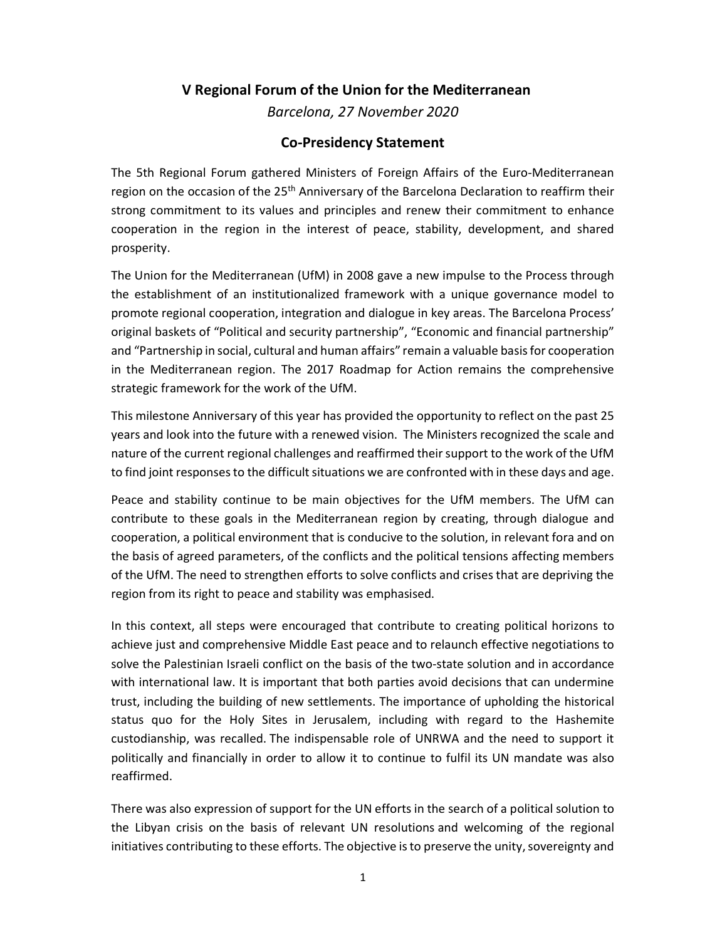## V Regional Forum of the Union for the Mediterranean

Barcelona, 27 November 2020

## Co-Presidency Statement

The 5th Regional Forum gathered Ministers of Foreign Affairs of the Euro-Mediterranean region on the occasion of the 25<sup>th</sup> Anniversary of the Barcelona Declaration to reaffirm their strong commitment to its values and principles and renew their commitment to enhance cooperation in the region in the interest of peace, stability, development, and shared prosperity.

The Union for the Mediterranean (UfM) in 2008 gave a new impulse to the Process through the establishment of an institutionalized framework with a unique governance model to promote regional cooperation, integration and dialogue in key areas. The Barcelona Process' original baskets of "Political and security partnership", "Economic and financial partnership" and "Partnership in social, cultural and human affairs" remain a valuable basis for cooperation in the Mediterranean region. The 2017 Roadmap for Action remains the comprehensive strategic framework for the work of the UfM.

This milestone Anniversary of this year has provided the opportunity to reflect on the past 25 years and look into the future with a renewed vision. The Ministers recognized the scale and nature of the current regional challenges and reaffirmed their support to the work of the UfM to find joint responses to the difficult situations we are confronted with in these days and age.

Peace and stability continue to be main objectives for the UfM members. The UfM can contribute to these goals in the Mediterranean region by creating, through dialogue and cooperation, a political environment that is conducive to the solution, in relevant fora and on the basis of agreed parameters, of the conflicts and the political tensions affecting members of the UfM. The need to strengthen efforts to solve conflicts and crises that are depriving the region from its right to peace and stability was emphasised.

In this context, all steps were encouraged that contribute to creating political horizons to achieve just and comprehensive Middle East peace and to relaunch effective negotiations to solve the Palestinian Israeli conflict on the basis of the two-state solution and in accordance with international law. It is important that both parties avoid decisions that can undermine trust, including the building of new settlements. The importance of upholding the historical status quo for the Holy Sites in Jerusalem, including with regard to the Hashemite custodianship, was recalled. The indispensable role of UNRWA and the need to support it politically and financially in order to allow it to continue to fulfil its UN mandate was also reaffirmed.

There was also expression of support for the UN efforts in the search of a political solution to the Libyan crisis on the basis of relevant UN resolutions and welcoming of the regional initiatives contributing to these efforts. The objective is to preserve the unity, sovereignty and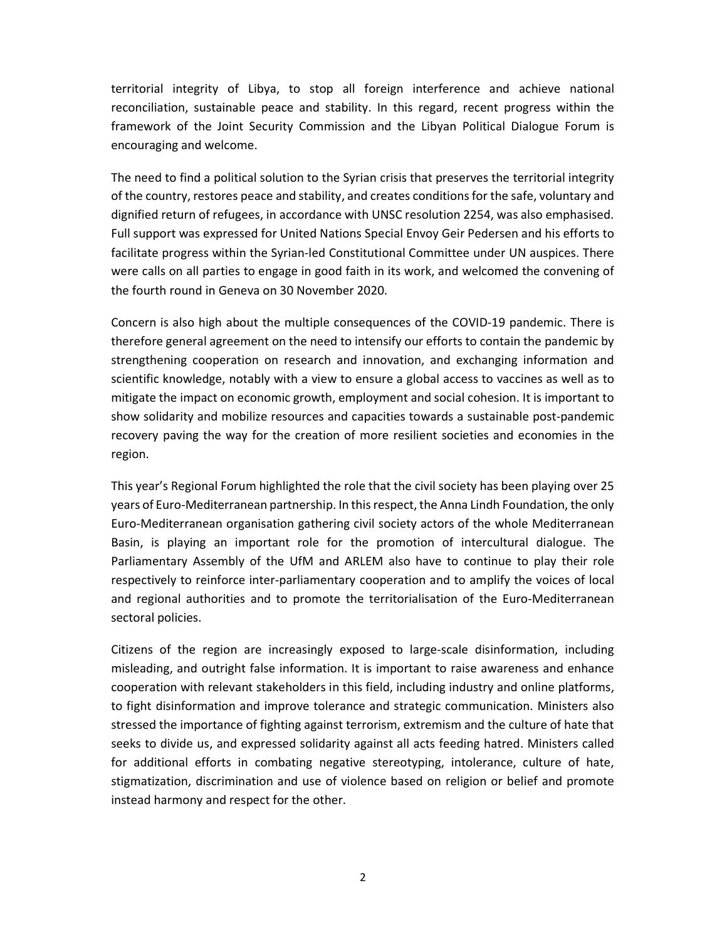territorial integrity of Libya, to stop all foreign interference and achieve national reconciliation, sustainable peace and stability. In this regard, recent progress within the framework of the Joint Security Commission and the Libyan Political Dialogue Forum is encouraging and welcome.

The need to find a political solution to the Syrian crisis that preserves the territorial integrity of the country, restores peace and stability, and creates conditions for the safe, voluntary and dignified return of refugees, in accordance with UNSC resolution 2254, was also emphasised. Full support was expressed for United Nations Special Envoy Geir Pedersen and his efforts to facilitate progress within the Syrian-led Constitutional Committee under UN auspices. There were calls on all parties to engage in good faith in its work, and welcomed the convening of the fourth round in Geneva on 30 November 2020.

Concern is also high about the multiple consequences of the COVID-19 pandemic. There is therefore general agreement on the need to intensify our efforts to contain the pandemic by strengthening cooperation on research and innovation, and exchanging information and scientific knowledge, notably with a view to ensure a global access to vaccines as well as to mitigate the impact on economic growth, employment and social cohesion. It is important to show solidarity and mobilize resources and capacities towards a sustainable post-pandemic recovery paving the way for the creation of more resilient societies and economies in the region.

This year's Regional Forum highlighted the role that the civil society has been playing over 25 years of Euro-Mediterranean partnership. In this respect, the Anna Lindh Foundation, the only Euro-Mediterranean organisation gathering civil society actors of the whole Mediterranean Basin, is playing an important role for the promotion of intercultural dialogue. The Parliamentary Assembly of the UfM and ARLEM also have to continue to play their role respectively to reinforce inter-parliamentary cooperation and to amplify the voices of local and regional authorities and to promote the territorialisation of the Euro-Mediterranean sectoral policies.

Citizens of the region are increasingly exposed to large-scale disinformation, including misleading, and outright false information. It is important to raise awareness and enhance cooperation with relevant stakeholders in this field, including industry and online platforms, to fight disinformation and improve tolerance and strategic communication. Ministers also stressed the importance of fighting against terrorism, extremism and the culture of hate that seeks to divide us, and expressed solidarity against all acts feeding hatred. Ministers called for additional efforts in combating negative stereotyping, intolerance, culture of hate, stigmatization, discrimination and use of violence based on religion or belief and promote instead harmony and respect for the other.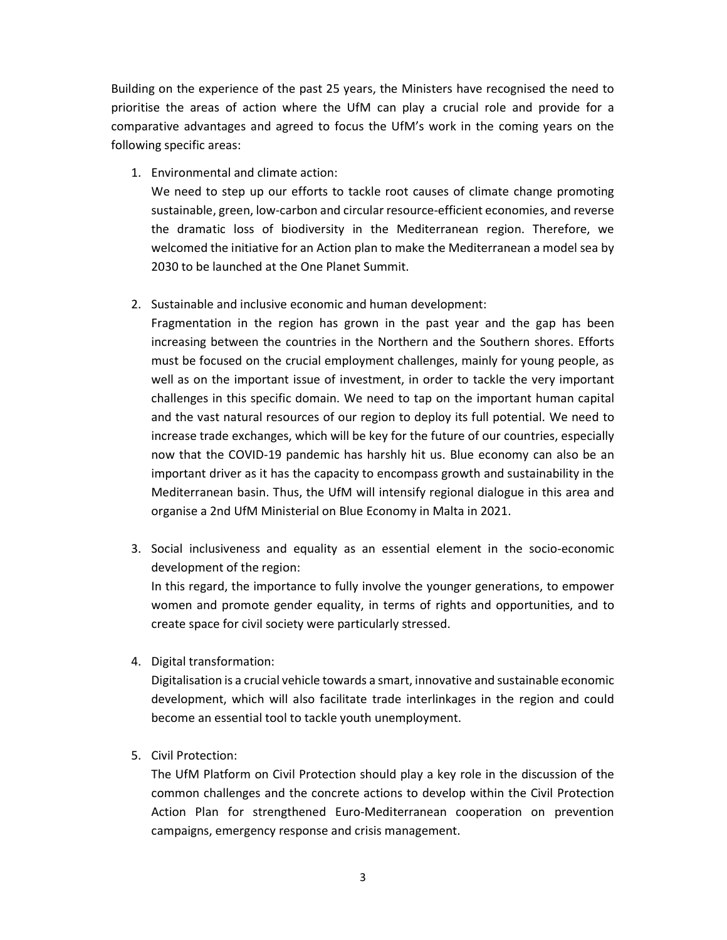Building on the experience of the past 25 years, the Ministers have recognised the need to prioritise the areas of action where the UfM can play a crucial role and provide for a comparative advantages and agreed to focus the UfM's work in the coming years on the following specific areas:

1. Environmental and climate action:

We need to step up our efforts to tackle root causes of climate change promoting sustainable, green, low-carbon and circular resource-efficient economies, and reverse the dramatic loss of biodiversity in the Mediterranean region. Therefore, we welcomed the initiative for an Action plan to make the Mediterranean a model sea by 2030 to be launched at the One Planet Summit.

2. Sustainable and inclusive economic and human development:

Fragmentation in the region has grown in the past year and the gap has been increasing between the countries in the Northern and the Southern shores. Efforts must be focused on the crucial employment challenges, mainly for young people, as well as on the important issue of investment, in order to tackle the very important challenges in this specific domain. We need to tap on the important human capital and the vast natural resources of our region to deploy its full potential. We need to increase trade exchanges, which will be key for the future of our countries, especially now that the COVID-19 pandemic has harshly hit us. Blue economy can also be an important driver as it has the capacity to encompass growth and sustainability in the Mediterranean basin. Thus, the UfM will intensify regional dialogue in this area and organise a 2nd UfM Ministerial on Blue Economy in Malta in 2021.

3. Social inclusiveness and equality as an essential element in the socio-economic development of the region:

In this regard, the importance to fully involve the younger generations, to empower women and promote gender equality, in terms of rights and opportunities, and to create space for civil society were particularly stressed.

4. Digital transformation:

Digitalisation is a crucial vehicle towards a smart, innovative and sustainable economic development, which will also facilitate trade interlinkages in the region and could become an essential tool to tackle youth unemployment.

5. Civil Protection:

The UfM Platform on Civil Protection should play a key role in the discussion of the common challenges and the concrete actions to develop within the Civil Protection Action Plan for strengthened Euro-Mediterranean cooperation on prevention campaigns, emergency response and crisis management.